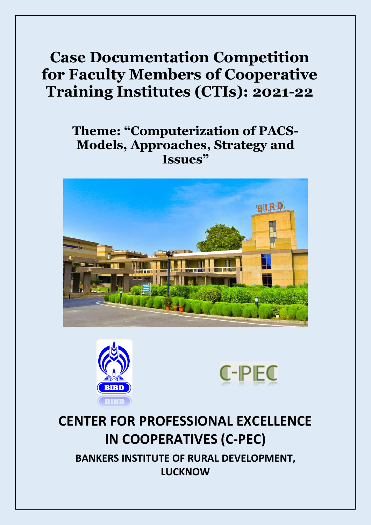# **Case Documentation Competition for Faculty Members of Cooperative Training Institutes (CTIs): 2021-22**

# **Theme: "Computerization of PACS-Models, Approaches, Strategy and Issues"**







# **CENTER FOR PROFESSIONAL EXCELLENCE IN COOPERATIVES (C-PEC) BANKERS INSTITUTE OF RURAL DEVELOPMENT, LUCKNOW**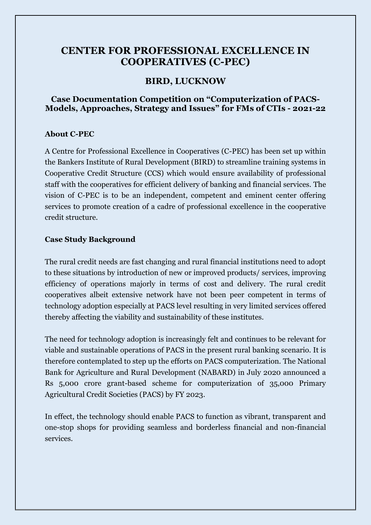# **CENTER FOR PROFESSIONAL EXCELLENCE IN COOPERATIVES (C-PEC)**

## **BIRD, LUCKNOW**

## **Case Documentation Competition on "Computerization of PACS-Models, Approaches, Strategy and Issues" for FMs of CTIs - 2021-22**

### **About C-PEC**

A Centre for Professional Excellence in Cooperatives (C-PEC) has been set up within the Bankers Institute of Rural Development (BIRD) to streamline training systems in Cooperative Credit Structure (CCS) which would ensure availability of professional staff with the cooperatives for efficient delivery of banking and financial services. The vision of C-PEC is to be an independent, competent and eminent center offering services to promote creation of a cadre of professional excellence in the cooperative credit structure.

### **Case Study Background**

The rural credit needs are fast changing and rural financial institutions need to adopt to these situations by introduction of new or improved products/ services, improving efficiency of operations majorly in terms of cost and delivery. The rural credit cooperatives albeit extensive network have not been peer competent in terms of technology adoption especially at PACS level resulting in very limited services offered thereby affecting the viability and sustainability of these institutes.

The need for technology adoption is increasingly felt and continues to be relevant for viable and sustainable operations of PACS in the present rural banking scenario. It is therefore contemplated to step up the efforts on PACS computerization. The National Bank for Agriculture and Rural Development (NABARD) in July 2020 announced a Rs 5,000 crore grant-based scheme for computerization of 35,000 Primary Agricultural Credit Societies (PACS) by FY 2023.

In effect, the technology should enable PACS to function as vibrant, transparent and one-stop shops for providing seamless and borderless financial and non-financial services.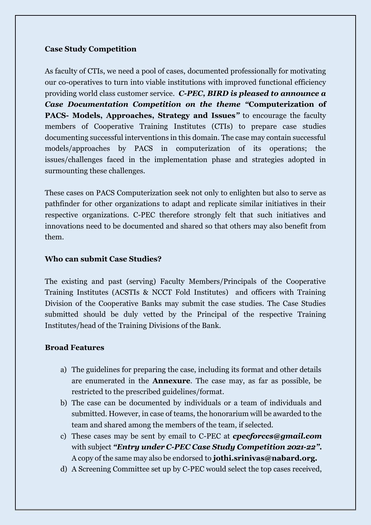## **Case Study Competition**

As faculty of CTIs, we need a pool of cases, documented professionally for motivating our co-operatives to turn into viable institutions with improved functional efficiency providing world class customer service. *C-PEC, BIRD is pleased to announce a Case Documentation Competition on the theme "***Computerization of PACS- Models, Approaches, Strategy and Issues***"* to encourage the faculty members of Cooperative Training Institutes (CTIs) to prepare case studies documenting successful interventions in this domain. The case may contain successful models/approaches by PACS in computerization of its operations; the issues/challenges faced in the implementation phase and strategies adopted in surmounting these challenges.

These cases on PACS Computerization seek not only to enlighten but also to serve as pathfinder for other organizations to adapt and replicate similar initiatives in their respective organizations. C-PEC therefore strongly felt that such initiatives and innovations need to be documented and shared so that others may also benefit from them.

### **Who can submit Case Studies?**

The existing and past (serving) Faculty Members/Principals of the Cooperative Training Institutes (ACSTIs & NCCT Fold Institutes) and officers with Training Division of the Cooperative Banks may submit the case studies. The Case Studies submitted should be duly vetted by the Principal of the respective Training Institutes/head of the Training Divisions of the Bank.

### **Broad Features**

- a) The guidelines for preparing the case, including its format and other details are enumerated in the **Annexure**. The case may, as far as possible, be restricted to the prescribed guidelines/format.
- b) The case can be documented by individuals or a team of individuals and submitted. However, in case of teams, the honorarium will be awarded to the team and shared among the members of the team, if selected.
- c) These cases may be sent by email to C-PEC at *cpecforccs@gmail.com*  with subject *"Entry under C-PEC Case Study Competition 2021-22"***.** A copy of the same may also be endorsed to **jothi.srinivas@nabard.org.**
- d) A Screening Committee set up by C-PEC would select the top cases received,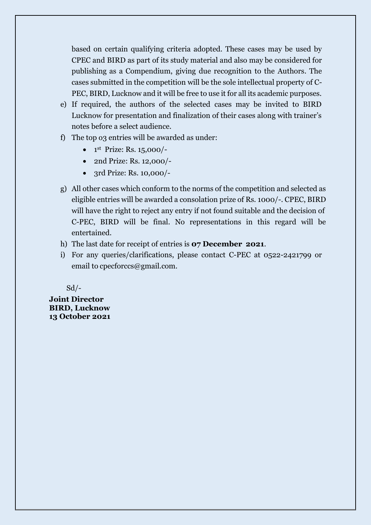based on certain qualifying criteria adopted. These cases may be used by CPEC and BIRD as part of its study material and also may be considered for publishing as a Compendium, giving due recognition to the Authors. The cases submitted in the competition will be the sole intellectual property of C-PEC, BIRD, Lucknow and it will be free to use it for all its academic purposes.

- e) If required, the authors of the selected cases may be invited to BIRD Lucknow for presentation and finalization of their cases along with trainer's notes before a select audience.
- f) The top o3 entries will be awarded as under:
	- $\bullet$  1<sup>st</sup> Prize: Rs. 15,000/-
	- 2nd Prize: Rs. 12,000/-
	- 3rd Prize: Rs. 10,000/-
- g) All other cases which conform to the norms of the competition and selected as eligible entries will be awarded a consolation prize of Rs. 1000/-. CPEC, BIRD will have the right to reject any entry if not found suitable and the decision of C-PEC, BIRD will be final. No representations in this regard will be entertained.
- h) The last date for receipt of entries is **07 December 2021**.
- i) For any queries/clarifications, please contact C-PEC at 0522-2421799 or email to cpecforccs@gmail.com.

 $Sd$  /-

**Joint Director BIRD, Lucknow 13 October 2021**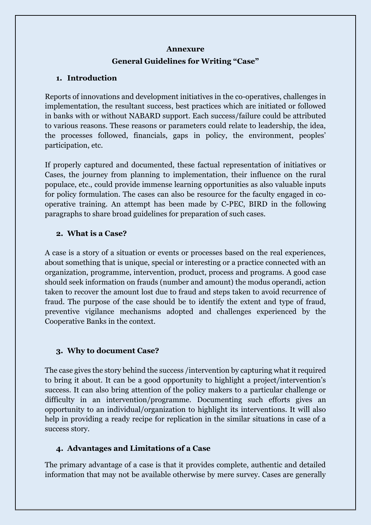#### **Annexure**

# **General Guidelines for Writing "Case"**

# **1. Introduction**

Reports of innovations and development initiatives in the co-operatives, challenges in implementation, the resultant success, best practices which are initiated or followed in banks with or without NABARD support. Each success/failure could be attributed to various reasons. These reasons or parameters could relate to leadership, the idea, the processes followed, financials, gaps in policy, the environment, peoples' participation, etc.

If properly captured and documented, these factual representation of initiatives or Cases, the journey from planning to implementation, their influence on the rural populace, etc., could provide immense learning opportunities as also valuable inputs for policy formulation. The cases can also be resource for the faculty engaged in cooperative training. An attempt has been made by C-PEC, BIRD in the following paragraphs to share broad guidelines for preparation of such cases.

# **2. What is a Case?**

A case is a story of a situation or events or processes based on the real experiences, about something that is unique, special or interesting or a practice connected with an organization, programme, intervention, product, process and programs. A good case should seek information on frauds (number and amount) the modus operandi, action taken to recover the amount lost due to fraud and steps taken to avoid recurrence of fraud. The purpose of the case should be to identify the extent and type of fraud, preventive vigilance mechanisms adopted and challenges experienced by the Cooperative Banks in the context.

# **3. Why to document Case?**

The case gives the story behind the success /intervention by capturing what it required to bring it about. It can be a good opportunity to highlight a project/intervention's success. It can also bring attention of the policy makers to a particular challenge or difficulty in an intervention/programme. Documenting such efforts gives an opportunity to an individual/organization to highlight its interventions. It will also help in providing a ready recipe for replication in the similar situations in case of a success story.

# **4. Advantages and Limitations of a Case**

The primary advantage of a case is that it provides complete, authentic and detailed information that may not be available otherwise by mere survey. Cases are generally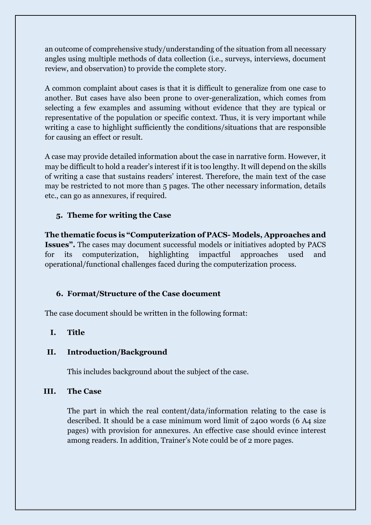an outcome of comprehensive study/understanding of the situation from all necessary angles using multiple methods of data collection (i.e., surveys, interviews, document review, and observation) to provide the complete story.

A common complaint about cases is that it is difficult to generalize from one case to another. But cases have also been prone to over-generalization, which comes from selecting a few examples and assuming without evidence that they are typical or representative of the population or specific context. Thus, it is very important while writing a case to highlight sufficiently the conditions/situations that are responsible for causing an effect or result.

A case may provide detailed information about the case in narrative form. However, it may be difficult to hold a reader's interest if it is too lengthy. It will depend on the skills of writing a case that sustains readers' interest. Therefore, the main text of the case may be restricted to not more than 5 pages. The other necessary information, details etc., can go as annexures, if required.

# **5. Theme for writing the Case**

**The thematic focus is "Computerization of PACS- Models, Approaches and Issues".** The cases may document successful models or initiatives adopted by PACS for its computerization, highlighting impactful approaches used and operational/functional challenges faced during the computerization process.

## **6. Format/Structure of the Case document**

The case document should be written in the following format:

## **I. Title**

### **II. Introduction/Background**

This includes background about the subject of the case.

### **III. The Case**

The part in which the real content/data/information relating to the case is described. It should be a case minimum word limit of 2400 words (6 A4 size pages) with provision for annexures. An effective case should evince interest among readers. In addition, Trainer's Note could be of 2 more pages.